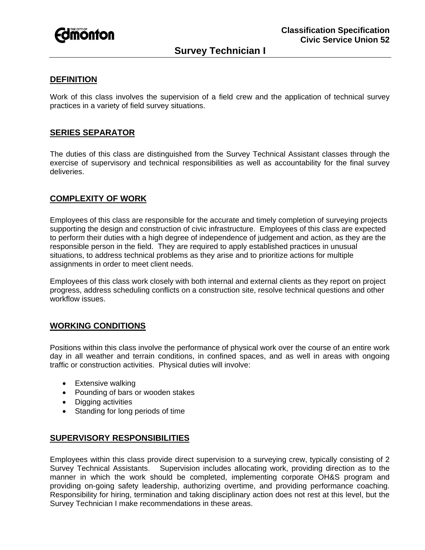

# **DEFINITION**

Work of this class involves the supervision of a field crew and the application of technical survey practices in a variety of field survey situations.

## **SERIES SEPARATOR**

The duties of this class are distinguished from the Survey Technical Assistant classes through the exercise of supervisory and technical responsibilities as well as accountability for the final survey deliveries.

# **COMPLEXITY OF WORK**

Employees of this class are responsible for the accurate and timely completion of surveying projects supporting the design and construction of civic infrastructure. Employees of this class are expected to perform their duties with a high degree of independence of judgement and action, as they are the responsible person in the field. They are required to apply established practices in unusual situations, to address technical problems as they arise and to prioritize actions for multiple assignments in order to meet client needs.

Employees of this class work closely with both internal and external clients as they report on project progress, address scheduling conflicts on a construction site, resolve technical questions and other workflow issues.

## **WORKING CONDITIONS**

Positions within this class involve the performance of physical work over the course of an entire work day in all weather and terrain conditions, in confined spaces, and as well in areas with ongoing traffic or construction activities. Physical duties will involve:

- Extensive walking
- Pounding of bars or wooden stakes
- Digging activities
- Standing for long periods of time

## **SUPERVISORY RESPONSIBILITIES**

Employees within this class provide direct supervision to a surveying crew, typically consisting of 2 Survey Technical Assistants. Supervision includes allocating work, providing direction as to the manner in which the work should be completed, implementing corporate OH&S program and providing on-going safety leadership, authorizing overtime, and providing performance coaching. Responsibility for hiring, termination and taking disciplinary action does not rest at this level, but the Survey Technician I make recommendations in these areas.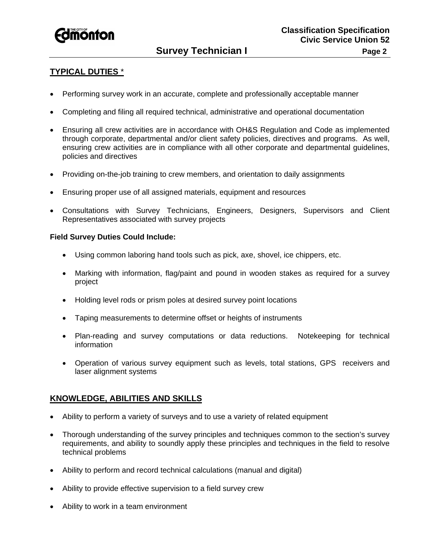

# **TYPICAL DUTIES** \*

- Performing survey work in an accurate, complete and professionally acceptable manner
- Completing and filing all required technical, administrative and operational documentation
- Ensuring all crew activities are in accordance with OH&S Regulation and Code as implemented through corporate, departmental and/or client safety policies, directives and programs. As well, ensuring crew activities are in compliance with all other corporate and departmental guidelines, policies and directives
- Providing on-the-job training to crew members, and orientation to daily assignments
- Ensuring proper use of all assigned materials, equipment and resources
- Consultations with Survey Technicians, Engineers, Designers, Supervisors and Client Representatives associated with survey projects

### **Field Survey Duties Could Include:**

- Using common laboring hand tools such as pick, axe, shovel, ice chippers, etc.
- Marking with information, flag/paint and pound in wooden stakes as required for a survey project
- Holding level rods or prism poles at desired survey point locations
- Taping measurements to determine offset or heights of instruments
- Plan-reading and survey computations or data reductions. Notekeeping for technical **information**
- Operation of various survey equipment such as levels, total stations, GPS receivers and laser alignment systems

## **KNOWLEDGE, ABILITIES AND SKILLS**

- Ability to perform a variety of surveys and to use a variety of related equipment
- Thorough understanding of the survey principles and techniques common to the section's survey requirements, and ability to soundly apply these principles and techniques in the field to resolve technical problems
- Ability to perform and record technical calculations (manual and digital)
- Ability to provide effective supervision to a field survey crew
- Ability to work in a team environment